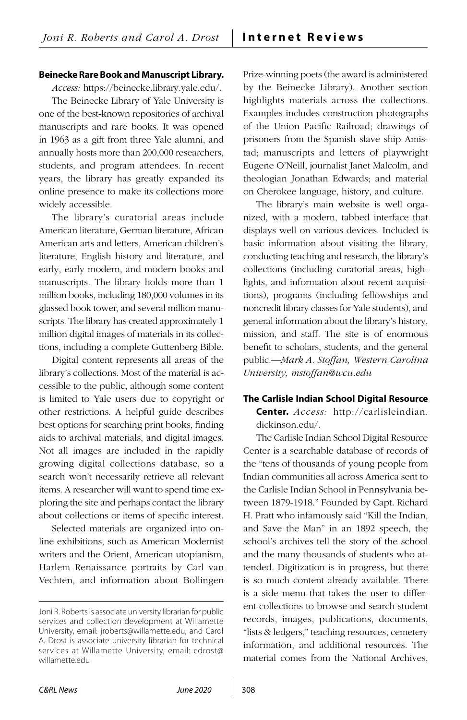## **Beinecke Rare Book and Manuscript Library.**

*Access:* [https://beinecke.library.yale.edu/.](https://beinecke.library.yale.edu/) The Beinecke Library of Yale University is one of the best-known repositories of archival manuscripts and rare books. It was opened in 1963 as a gift from three Yale alumni, and annually hosts more than 200,000 researchers, students, and program attendees. In recent years, the library has greatly expanded its online presence to make its collections more widely accessible.

The library's curatorial areas include American literature, German literature, African American arts and letters, American children's literature, English history and literature, and early, early modern, and modern books and manuscripts. The library holds more than 1 million books, including 180,000 volumes in its glassed book tower, and several million manuscripts. The library has created approximately 1 million digital images of materials in its collections, including a complete Guttenberg Bible.

Digital content represents all areas of the library's collections. Most of the material is accessible to the public, although some content is limited to Yale users due to copyright or other restrictions. A helpful guide describes best options for searching print books, finding aids to archival materials, and digital images. Not all images are included in the rapidly growing digital collections database, so a search won't necessarily retrieve all relevant items. A researcher will want to spend time exploring the site and perhaps contact the library about collections or items of specific interest.

Selected materials are organized into online exhibitions, such as American Modernist writers and the Orient, American utopianism, Harlem Renaissance portraits by Carl van Vechten, and information about Bollingen Prize-winning poets (the award is administered by the Beinecke Library). Another section highlights materials across the collections. Examples includes construction photographs of the Union Pacific Railroad; drawings of prisoners from the Spanish slave ship Amistad; manuscripts and letters of playwright Eugene O'Neill, journalist Janet Malcolm, and theologian Jonathan Edwards; and material on Cherokee language, history, and culture.

The library's main website is well organized, with a modern, tabbed interface that displays well on various devices. Included is basic information about visiting the library, conducting teaching and research, the library's collections (including curatorial areas, highlights, and information about recent acquisitions), programs (including fellowships and noncredit library classes for Yale students), and general information about the library's history, mission, and staff. The site is of enormous benefit to scholars, students, and the general public.—*Mark A. Stoffan, Western Carolina University, [mstoffan@wcu.edu](mailto:mstoffan%40wcu.edu?subject=)* 

## **The Carlisle Indian School Digital Resource**

**Center.** *Access:* [http://carlisleindian.](http://carlisleindian.dickinson.edu/) [dickinson.edu/](http://carlisleindian.dickinson.edu/).

The Carlisle Indian School Digital Resource Center is a searchable database of records of the "tens of thousands of young people from Indian communities all across America sent to the Carlisle Indian School in Pennsylvania between 1879-1918." Founded by Capt. Richard H. Pratt who infamously said "Kill the Indian, and Save the Man" in an 1892 speech, the school's archives tell the story of the school and the many thousands of students who attended. Digitization is in progress, but there is so much content already available. There is a side menu that takes the user to different collections to browse and search student records, images, publications, documents, "lists & ledgers," teaching resources, cemetery information, and additional resources. The material comes from the National Archives,

Joni R. Roberts is associate university librarian for public services and collection development at Willamette University, email: [jroberts@willamette.edu](mailto:jroberts%40willamette.edu?subject=), and Carol A. Drost is associate university librarian for technical services at Willamette University, email: [cdrost@](mailto:cdrost%40willamette.edu?subject=) [willamette.edu](mailto:cdrost%40willamette.edu?subject=)